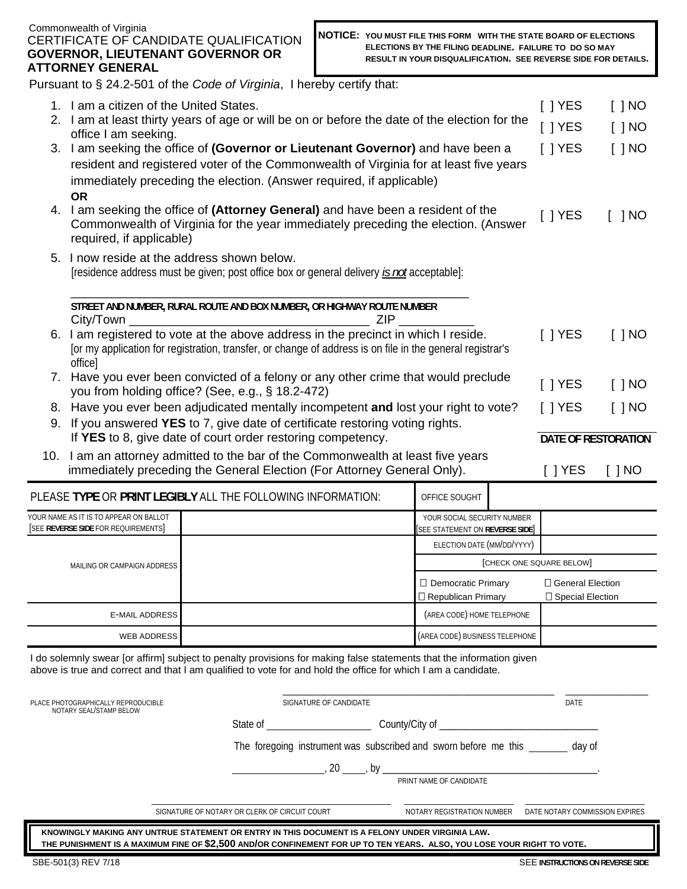#### Commonwealth of Virginia CERTIFICATE OF CANDIDATE QUALIFICATION **GOVERNOR, LIEUTENANT GOVERNOR OR ATTORNEY GENERAL**

|                                                                                          | Pursuant to § 24.2-501 of the Code of Virginia, I hereby certify that:                                                                                                                                                                |  |  |  |  |     |                                                              |               |                          |            |
|------------------------------------------------------------------------------------------|---------------------------------------------------------------------------------------------------------------------------------------------------------------------------------------------------------------------------------------|--|--|--|--|-----|--------------------------------------------------------------|---------------|--------------------------|------------|
|                                                                                          | 1. I am a citizen of the United States.                                                                                                                                                                                               |  |  |  |  |     |                                                              |               | $[$ ] YES                | $[$ $]$ NO |
|                                                                                          | 2. I am at least thirty years of age or will be on or before the date of the election for the                                                                                                                                         |  |  |  |  |     |                                                              |               | $[$ ] YES                | $[$ $]$ NO |
|                                                                                          | office I am seeking.                                                                                                                                                                                                                  |  |  |  |  |     |                                                              |               | $[$ $]$ YES              | $[$ $]$ NO |
|                                                                                          | 3. I am seeking the office of (Governor or Lieutenant Governor) and have been a<br>resident and registered voter of the Commonwealth of Virginia for at least five years                                                              |  |  |  |  |     |                                                              |               |                          |            |
|                                                                                          | immediately preceding the election. (Answer required, if applicable)                                                                                                                                                                  |  |  |  |  |     |                                                              |               |                          |            |
|                                                                                          | <b>OR</b>                                                                                                                                                                                                                             |  |  |  |  |     |                                                              |               |                          |            |
|                                                                                          | 4. I am seeking the office of (Attorney General) and have been a resident of the<br>Commonwealth of Virginia for the year immediately preceding the election. (Answer                                                                 |  |  |  |  |     | $\lceil$   YES                                               | $[$ $]$ NO    |                          |            |
|                                                                                          | required, if applicable)                                                                                                                                                                                                              |  |  |  |  |     |                                                              |               |                          |            |
|                                                                                          | 5. I now reside at the address shown below.                                                                                                                                                                                           |  |  |  |  |     |                                                              |               |                          |            |
|                                                                                          | [residence address must be given; post office box or general delivery is not acceptable]:                                                                                                                                             |  |  |  |  |     |                                                              |               |                          |            |
|                                                                                          |                                                                                                                                                                                                                                       |  |  |  |  |     |                                                              |               |                          |            |
|                                                                                          | STREET AND NUMBER, RURAL ROUTE AND BOX NUMBER, OR HIGHWAY ROUTE NUMBER<br>City/Town                                                                                                                                                   |  |  |  |  | ZIP |                                                              |               |                          |            |
|                                                                                          | 6. I am registered to vote at the above address in the precinct in which I reside.                                                                                                                                                    |  |  |  |  |     |                                                              | $[$ $]$ YES   | $[$ $]$ NO               |            |
|                                                                                          | for my application for registration, transfer, or change of address is on file in the general registrar's                                                                                                                             |  |  |  |  |     |                                                              |               |                          |            |
|                                                                                          | office]                                                                                                                                                                                                                               |  |  |  |  |     |                                                              |               |                          |            |
|                                                                                          | 7. Have you ever been convicted of a felony or any other crime that would preclude<br>you from holding office? (See, e.g., § 18.2-472)                                                                                                |  |  |  |  |     |                                                              | $[$ $]$ YES   | $[$ $]$ NO               |            |
|                                                                                          | 8. Have you ever been adjudicated mentally incompetent and lost your right to vote?<br>$[$   YES                                                                                                                                      |  |  |  |  |     |                                                              | $\lceil$   NO |                          |            |
|                                                                                          | 9. If you answered YES to 7, give date of certificate restoring voting rights.<br>If YES to 8, give date of court order restoring competency.<br>DATE OF RESTORATION                                                                  |  |  |  |  |     |                                                              |               |                          |            |
|                                                                                          | 10. I am an attorney admitted to the bar of the Commonwealth at least five years                                                                                                                                                      |  |  |  |  |     |                                                              |               |                          |            |
|                                                                                          | immediately preceding the General Election (For Attorney General Only).                                                                                                                                                               |  |  |  |  |     |                                                              |               | $[$ ] YES                | $[$ $]$ NO |
|                                                                                          | PLEASE TYPE OR PRINT LEGIBLY ALL THE FOLLOWING INFORMATION:                                                                                                                                                                           |  |  |  |  |     | OFFICE SOUGHT                                                |               |                          |            |
|                                                                                          | YOUR NAME AS IT IS TO APPEAR ON BALLOT<br>[SEE REVERSE SIDE FOR REQUIREMENTS]                                                                                                                                                         |  |  |  |  |     | YOUR SOCIAL SECURITY NUMBER<br>SEE STATEMENT ON REVERSE SIDE |               |                          |            |
|                                                                                          |                                                                                                                                                                                                                                       |  |  |  |  |     | ELECTION DATE (MM/DD/YYYY)                                   |               |                          |            |
| MAILING OR CAMPAIGN ADDRESS                                                              |                                                                                                                                                                                                                                       |  |  |  |  |     |                                                              |               | [CHECK ONE SQUARE BELOW] |            |
|                                                                                          |                                                                                                                                                                                                                                       |  |  |  |  |     | □ Democratic Primary                                         |               | □ General Election       |            |
|                                                                                          | <b>E-MAIL ADDRESS</b>                                                                                                                                                                                                                 |  |  |  |  |     | □ Republican Primary<br>(AREA CODE) HOME TELEPHONE           |               | □ Special Election       |            |
|                                                                                          |                                                                                                                                                                                                                                       |  |  |  |  |     |                                                              |               |                          |            |
|                                                                                          | <b>WEB ADDRESS</b>                                                                                                                                                                                                                    |  |  |  |  |     | (AREA CODE) BUSINESS TELEPHONE                               |               |                          |            |
|                                                                                          | I do solemnly swear [or affirm] subject to penalty provisions for making false statements that the information given<br>above is true and correct and that I am qualified to vote for and hold the office for which I am a candidate. |  |  |  |  |     |                                                              |               |                          |            |
|                                                                                          |                                                                                                                                                                                                                                       |  |  |  |  |     |                                                              |               | DATE                     |            |
| PLACE PHOTOGRAPHICALLY REPRODUCIBLE<br>SIGNATURE OF CANDIDATE<br>NOTARY SEAL/STAMP BELOW |                                                                                                                                                                                                                                       |  |  |  |  |     |                                                              |               |                          |            |
|                                                                                          |                                                                                                                                                                                                                                       |  |  |  |  |     |                                                              |               |                          |            |
| The foregoing instrument was subscribed and sworn before me this _______ day of          |                                                                                                                                                                                                                                       |  |  |  |  |     |                                                              |               |                          |            |
|                                                                                          | PRINT NAME OF CANDIDATE                                                                                                                                                                                                               |  |  |  |  |     |                                                              |               |                          |            |
|                                                                                          |                                                                                                                                                                                                                                       |  |  |  |  |     |                                                              |               |                          |            |
|                                                                                          | DATE NOTARY COMMISSION EXPIRES<br>SIGNATURE OF NOTARY OR CLERK OF CIRCUIT COURT<br>NOTARY REGISTRATION NUMBER                                                                                                                         |  |  |  |  |     |                                                              |               |                          |            |
|                                                                                          |                                                                                                                                                                                                                                       |  |  |  |  |     |                                                              |               |                          |            |

 **KNOWINGLY MAKING ANY UNTRUE STATEMENT OR ENTRY IN THIS DOCUMENT IS A FELONY UNDER VIRGINIA LAW. THE PUNISHMENT IS A MAXIMUM FINE OF \$2,500 AND/OR CONFINEMENT FOR UP TO TEN YEARS. ALSO, YOU LOSE YOUR RIGHT TO VOTE.**